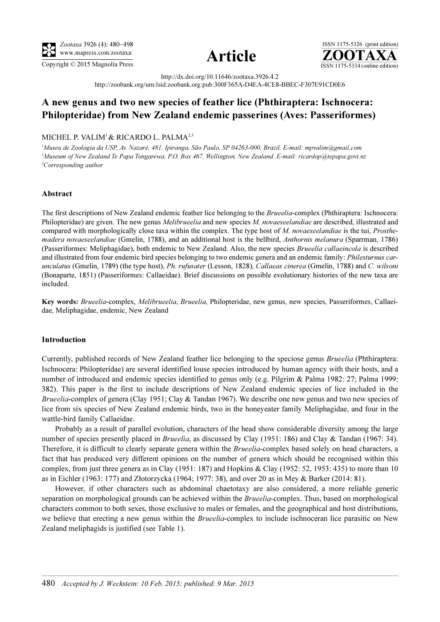





http://dx.doi.org/10.11646/zootaxa.3926.4.2 http://zoobank.org/urn:lsid:zoobank.org:pub:300F365A-D4EA-4CE8-BBEC-F307E91CD0E6

# A new genus and two new species of feather lice (Phthiraptera: Ischnocera: Philopteridae) from New Zealand endemic passerines (Aves: Passeriformes)

## MICHEL P. VALIM<sup>1</sup> & RICARDO L. PALMA<sup>2,3</sup>

<sup>1</sup>Museu de Zoologia da USP, Av. Nazaré, 481, Ipiranga, São Paulo, SP 04263-000, Brazil. E-mail: [mpvalim@gmail.com](mailto:mpvalim@gmail.com) 2 Museum of New Zealand Te Papa Tongarewa, P.O. Box 467, Wellington, New Zealand. E-mail: [ricardop@tepapa.govt.nz](mailto:ricardop@tepapa.govt.nz) <sup>3</sup>Corresponding author

## Abstract

The first descriptions of New Zealand endemic feather lice belonging to the *Brueelia*-complex (Phthiraptera: Ischnocera: Philopteridae) are given. The new genus *Melibrueelia* and new species M. novaeseelandiae are described, illustrated and compared with morphologically close taxa within the complex. The type host of M. novaeseelandiae is the tui, Prosthemadera novaeseelandiae (Gmelin, 1788), and an additional host is the bellbird, Anthornis melanura (Sparrman, 1786) (Passeriformes: Meliphagidae), both endemic to New Zealand. Also, the new species Brueelia callaeincola is described and illustrated from four endemic bird species belonging to two endemic genera and an endemic family: *Philesturnus car*unculatus (Gmelin, 1789) (the type host), Ph. rufusater (Lesson, 1828), Callaeas cinerea (Gmelin, 1788) and C. wilsoni (Bonaparte, 1851) (Passeriformes: Callaeidae). Brief discussions on possible evolutionary histories of the new taxa are included.

Key words: Brueelia-complex, Melibrueelia, Brueelia, Philopteridae, new genus, new species, Passeriformes, Callaeidae, Meliphagidae, endemic, New Zealand

## Introduction

Currently, published records of New Zealand feather lice belonging to the speciose genus Brueelia (Phthiraptera: Ischnocera: Philopteridae) are several identified louse species introduced by human agency with their hosts, and a number of introduced and endemic species identified to genus only (e.g. Pilgrim & Palma 1982: 27; Palma 1999: 382). This paper is the first to include descriptions of New Zealand endemic species of lice included in the Brueelia-complex of genera (Clay 1951; Clay & Tandan 1967). We describe one new genus and two new species of lice from six species of New Zealand endemic birds, two in the honeyeater family Meliphagidae, and four in the wattle-bird family Callaeidae.

Probably as a result of parallel evolution, characters of the head show considerable diversity among the large number of species presently placed in *Brueelia*, as discussed by Clay (1951: 186) and Clay & Tandan (1967: 34). Therefore, it is difficult to clearly separate genera within the *Brueelia*-complex based solely on head characters, a fact that has produced very different opinions on the number of genera which should be recognised within this complex, from just three genera as in Clay (1951: 187) and Hopkins & Clay (1952: 52, 1953: 435) to more than 10 as in Eichler (1963: 177) and Złotorzycka (1964; 1977: 38), and over 20 as in Mey & Barker (2014: 81).

However, if other characters such as abdominal chaetotaxy are also considered, a more reliable generic separation on morphological grounds can be achieved within the *Brueelia*-complex. Thus, based on morphological characters common to both sexes, those exclusive to males or females, and the geographical and host distributions, we believe that erecting a new genus within the *Brueelia*-complex to include ischnoceran lice parasitic on New Zealand meliphagids is justified (see Table 1).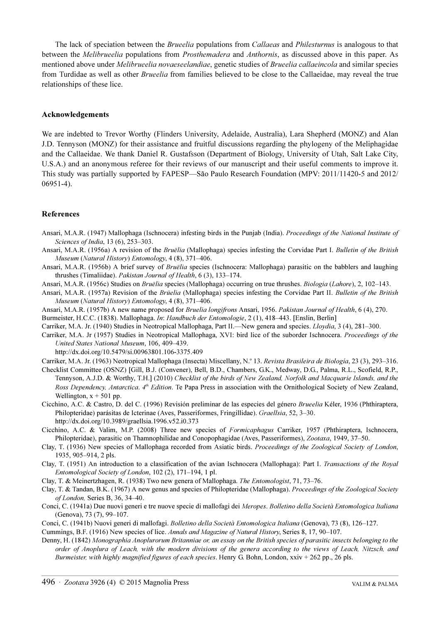The lack of speciation between the *Brueelia* populations from *Callaeas* and *Philesturnus* is analogous to that between the *Melibrueelia* populations from *Prosthemadera* and *Anthornis*, as discussed above in this paper. As mentioned above under Melibrueelia novaeseelandiae, genetic studies of Brueelia callaeincola and similar species from Turdidae as well as other *Brueelia* from families believed to be close to the Callaeidae, may reveal the true relationships of these lice.

#### Acknowledgements

We are indebted to Trevor Worthy (Flinders University, Adelaide, Australia), Lara Shepherd (MONZ) and Alan J.D. Tennyson (MONZ) for their assistance and fruitful discussions regarding the phylogeny of the Meliphagidae and the Callaeidae. We thank Daniel R. Gustafsson (Department of Biology, University of Utah, Salt Lake City, U.S.A.) and an anonymous referee for their reviews of our manuscript and their useful comments to improve it. This study was partially supported by FAPESP—São Paulo Research Foundation (MPV: 2011/11420-5 and 2012/ 06951-4).

#### References

- Ansari, M.A.R. (1947) Mallophaga (Ischnocera) infesting birds in the Punjab (India). Proceedings of the National Institute of Sciences of India, 13 (6), 253–303.
- Ansari, M.A.R. (1956a) A revision of the Bruëlia (Mallophaga) species infesting the Corvidae Part I. Bulletin of the British Museum (Natural History) Entomology, 4 (8), 371–406.
- Ansari, M.A.R. (1956b) A brief survey of Bruëlia species (Ischnocera: Mallophaga) parasitic on the babblers and laughing thrushes (Timaliidae). Pakistan Journal of Health, 6 (3), 133–174.
- Ansari, M.A.R. (1956c) Studies on Bruëlia species (Mallophaga) occurring on true thrushes. Biologia (Lahore), 2, 102–143.
- Ansari, M.A.R. (1957a) Revision of the Brüelia (Mallophaga) species infesting the Corvidae Part II. Bulletin of the British Museum (Natural History) Entomology, 4 (8), 371–406.
- Ansari, M.A.R. (1957b) A new name proposed for Bruelia longifrons Ansari, 1956. Pakistan Journal of Health, 6 (4), 270.
- Burmeister, H.C.C. (1838). Mallophaga. In: Handbuch der Entomologie, 2 (1), 418–443. [Enslin, Berlin] Carriker, M.A. Jr. (1940) Studies in Neotropical Mallophaga, Part II.—New genera and species. Lloydia, 3 (4), 281–300.
- Carriker, M.A. Jr (1957) Studies in Neotropical Mallophaga, XVI: bird lice of the suborder Ischnocera. Proceedings of the
- United States National Museum, 106, 409–439.
	- http://dx.doi.org/10.5479/si.00963801.106-3375.409
- Carriker, M.A. Jr. (1963) Neotropical Mallophaga (Insecta) Miscellany, N.º 13. Revista Brasileira de Biología, 23 (3), 293-316.
- Checklist Committee (OSNZ) [Gill, B.J. (Convener), Bell, B.D., Chambers, G.K., Medway, D.G., Palma, R.L., Scofield, R.P., Tennyson, A.J.D. & Worthy, T.H.] (2010) Checklist of the birds of New Zealand, Norfolk and Macquarie Islands, and the Ross Dependency, Antarctica.  $4<sup>th</sup>$  Edition. Te Papa Press in association with the Ornithological Society of New Zealand, Wellington,  $x + 501$  pp.
- Cicchino, A.C. & Castro, D. del C. (1996) Revisión preliminar de las especies del género Brueelia Kéler, 1936 (Phthiraptera, Philopteridae) parásitas de Icterinae (Aves, Passeriformes, Fringillidae). Graellsia, 52, 3–30. http://dx.doi.org/10.3989/graellsia.1996.v52.i0.373
- Cicchino, A.C. & Valim, M.P. (2008) Three new species of Formicaphagus Carriker, 1957 (Phthiraptera, Ischnocera, Philopteridae), parasitic on Thamnophilidae and Conopophagidae (Aves, Passeriformes), Zootaxa, 1949, 37–50.
- Clay, T. (1936) New species of Mallophaga recorded from Asiatic birds. Proceedings of the Zoological Society of London, 1935, 905–914, 2 pls.
- Clay, T. (1951) An introduction to a classification of the avian Ischnocera (Mallophaga): Part I. Transactions of the Royal Entomological Society of London, 102 (2), 171–194, 1 pl.
- Clay, T. & Meinertzhagen, R. (1938) Two new genera of Mallophaga. The Entomologist, 71, 73–76.
- Clay, T. & Tandan, B.K. (1967) A new genus and species of Philopteridae (Mallophaga). Proceedings of the Zoological Society of London, Series B, 36, 34–40.
- Conci, C. (1941a) Due nuovi generi e tre nuove specie di mallofagi dei Meropes. Bolletino della Società Entomologica Italiana (Genova), 73 (7), 99–107.
- Conci, C. (1941b) Nuovi generi di mallofagi. Bolletino della Società Entomologica Italiana (Genova), 73 (8), 126–127.

Cummings, B.F. (1916) New species of lice. Annals and Magazine of Natural History, Series 8, 17, 90–107.

Denny, H. (1842) Monographia Anoplurorum Britanniae or, an essay on the British species of parasitic insects belonging to the order of Anoplura of Leach, with the modern divisions of the genera according to the views of Leach, Nitzsch, and Burmeister, with highly magnified figures of each species. Henry G. Bohn, London, xxiv  $+ 262$  pp., 26 pls.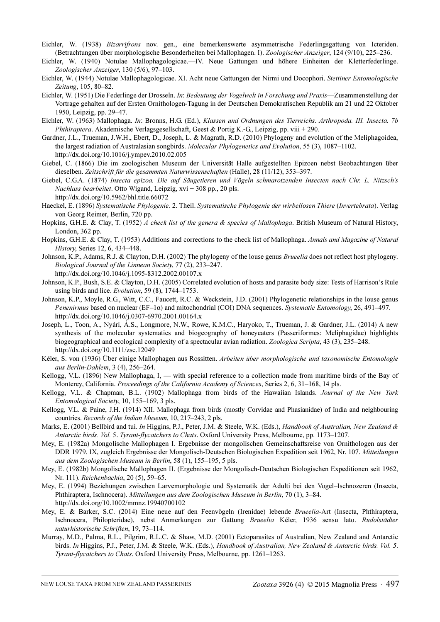- Eichler, W. (1938) Bizarrifrons nov. gen., eine bemerkenswerte asymmetrische Federlingsgattung von Icteriden. (Betrachtungen über morphologische Besonderheiten bei Mallophagen. I). Zoologischer Anzeiger, 124 (9/10), 225–236.
- Eichler, W. (1940) Notulae Mallophagologicae.—IV. Neue Gattungen und höhere Einheiten der Kletterfederlinge. Zoologischer Anzeiger, 130 (5/6), 97–103.
- Eichler, W. (1944) Notulae Mallophagologicae. XI. Acht neue Gattungen der Nirmi und Docophori. Stettiner Entomologische Zeitung, 105, 80–82.
- Eichler, W. (1951) Die Federlinge der Drosseln. In: Bedeutung der Vogelwelt in Forschung und Praxis—Zusammenstellung der Vortrage gehalten auf der Ersten Ornithologen-Tagung in der Deutschen Demokratischen Republik am 21 und 22 Oktober 1950, Leipzig, pp. 29–47.
- Eichler, W. (1963) Mallophaga. In: Bronns, H.G. (Ed.), Klassen und Ordnungen des Tierreichs. Arthropoda. III. Insecta. 7b Phthiraptera. Akademische Verlagsgesellschaft, Geest & Portig K.-G., Leipzig, pp. viii + 290.
- Gardner, J.L., Trueman, J.W.H., Ebert, D., Joseph, L. & Magrath, R.D. (2010) Phylogeny and evolution of the Meliphagoidea, the largest radiation of Australasian songbirds. Molecular Phylogenetics and Evolution, 55 (3), 1087–1102. http://dx.doi.org/10.1016/j.ympev.2010.02.005
- Giebel, C. (1866) Die im zoologischen Museum der Universität Halle aufgestellten Epizoen nebst Beobachtungen über dieselben. Zeitschrift für die gesammten Naturwissenschaften (Halle), 28 (11/12), 353–397.
- Giebel, C.G.A. (1874) Insecta epizoa. Die auf Säugetieren und Vögeln schmarotzenden Insecten nach Chr. L. Nitzsch's Nachlass bearbeitet. Otto Wigand, Leipzig, xvi + 308 pp., 20 pls. http://dx.doi.org/10.5962/bhl.title.66072
- Haeckel, E. (1896) Systematische Phylogenie. 2. Theil. Systematische Phylogenie der wirbellosen Thiere (Invertebrata). Verlag von Georg Reimer, Berlin, 720 pp.
- Hopkins, G.H.E. & Clay, T. (1952) A check list of the genera & species of Mallophaga. British Museum of Natural History, London, 362 pp.
- Hopkins, G.H.E. & Clay, T. (1953) Additions and corrections to the check list of Mallophaga. Annals and Magazine of Natural History, Series 12, 6, 434–448.
- Johnson, K.P., Adams, R.J. & Clayton, D.H. (2002) The phylogeny of the louse genus *Brueelia* does not reflect host phylogeny. Biological Journal of the Linnean Society, 77 (2), 233–247. http://dx.doi.org/10.1046/j.1095-8312.2002.00107.x
- Johnson, K.P., Bush, S.E. & Clayton, D.H. (2005) Correlated evolution of hosts and parasite body size: Tests of Harrison's Rule using birds and lice. Evolution, 59 (8), 1744–1753.
- Johnson, K.P., Moyle, R.G., Witt, C.C., Faucett, R.C. & Weckstein, J.D. (2001) Phylogenetic relationships in the louse genus Penenirmus based on nuclear (EF–1α) and mitochondrial (COI) DNA sequences. Systematic Entomology, 26, 491–497. http://dx.doi.org/10.1046/j.0307-6970.2001.00164.x
- Joseph, L., Toon, A., Nyári, Á.S., Longmore, N.W., Rowe, K.M.C., Haryoko, T., Trueman, J. & Gardner, J.L. (2014) A new synthesis of the molecular systematics and biogeography of honeyeaters (Passeriformes: Meliphagidae) highlights biogeographical and ecological complexity of a spectacular avian radiation. Zoologica Scripta, 43 (3), 235–248. http://dx.doi.org/10.1111/zsc.12049
- Kéler, S. von (1936) Über einige Mallophagen aus Rossitten. Arbeiten über morphologische und taxonomische Entomologie aus Berlin-Dahlem, 3 (4), 256–264.
- Kellogg, V.L. (1896) New Mallophaga, I, with special reference to a collection made from maritime birds of the Bay of Monterey, California. Proceedings of the California Academy of Sciences, Series 2, 6, 31–168, 14 pls.
- Kellogg, V.L. & Chapman, B.L. (1902) Mallophaga from birds of the Hawaiian Islands. Journal of the New York Entomological Society, 10, 155–169, 3 pls.
- Kellogg, V.L. & Paine, J.H. (1914) XII. Mallophaga from birds (mostly Corvidae and Phasianidae) of India and neighbouring countries. Records of the Indian Museum, 10, 217–243, 2 pls.
- Marks, E. (2001) Bellbird and tui. In Higgins, P.J., Peter, J.M. & Steele, W.K. (Eds.), Handbook of Australian, New Zealand & Antarctic birds. Vol. 5. Tyrant-flycatchers to Chats. Oxford University Press, Melbourne, pp. 1173–1207.
- Mey, E. (1982a) Mongolische Mallophagen I. Ergebnisse der mongolischen Gemeinschaftsreise von Ornithologen aus der DDR 1979. IX, zugleich Ergebnisse der Mongolisch-Deutschen Biologischen Expedition seit 1962, Nr. 107. Mitteilungen aus dem Zoologischen Museum in Berlin, 58 (1), 155–195, 5 pls.
- Mey, E. (1982b) Mongolische Mallophagen II. (Ergebnisse der Mongolisch-Deutschen Biologischen Expeditionen seit 1962, Nr. 111). Reichenbachia, 20 (5), 59–65.
- Mey, E. (1994) Beziehungen zwischen Larvemorphologie und Systematik der Adulti bei den Vogel–Ischnozeren (Insecta, Phthiraptera, Ischnocera). Mitteilungen aus dem Zoologischen Museum in Berlin, 70 (1), 3–84. http://dx.doi.org/10.1002/mmnz.19940700102
- Mey, E. & Barker, S.C. (2014) Eine neue auf den Feenvögeln (Irenidae) lebende Brueelia-Art (Insecta, Phthiraptera, Ischnocera, Philopteridae), nebst Anmerkungen zur Gattung Brueelia Kéler, 1936 sensu lato. Rudolstädter naturhistorische Schriften, 19, 73–114.
- Murray, M.D., Palma, R.L., Pilgrim, R.L.C. & Shaw, M.D. (2001) Ectoparasites of Australian, New Zealand and Antarctic birds. In Higgins, P.J., Peter, J.M. & Steele, W.K. (Eds.), Handbook of Australian, New Zealand & Antarctic birds. Vol. 5. Tyrant-flycatchers to Chats. Oxford University Press, Melbourne, pp. 1261–1263.